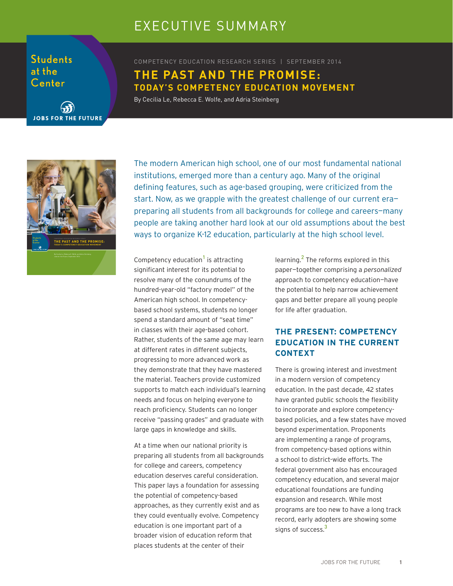# EXECUTIVE SUMMARY

**Students** at the Center

COMPETENCY EDUCATION RESEARCH SERIES | SEPTEMBER 2014 **THE PAST AND THE PROMISE: TODAY'S COMPETENCY EDUCATION MOVEMENT**

By Cecilia Le, Rebecca E. Wolfe, and Adria Steinberg



**JOBS FOR THE FUTURE** 

The modern American high school, one of our most fundamental national institutions, emerged more than a century ago. Many of the original defining features, such as age-based grouping, were criticized from the start. Now, as we grapple with the greatest challenge of our current era preparing all students from all backgrounds for college and careers—many people are taking another hard look at our old assumptions about the best ways to organize K-12 education, particularly at the high school level.

Competency education<sup>1</sup> is attracting significant interest for its potential to resolve many of the conundrums of the hundred-year-old "factory model" of the American high school. In competencybased school systems, students no longer spend a standard amount of "seat time" in classes with their age-based cohort. Rather, students of the same age may learn at different rates in different subjects, progressing to more advanced work as they demonstrate that they have mastered the material. Teachers provide customized supports to match each individual's learning needs and focus on helping everyone to reach proficiency. Students can no longer receive "passing grades" and graduate with large gaps in knowledge and skills.

At a time when our national priority is preparing all students from all backgrounds for college and careers, competency education deserves careful consideration. This paper lays a foundation for assessing the potential of competency-based approaches, as they currently exist and as they could eventually evolve. Competency education is one important part of a broader vision of education reform that places students at the center of their

learning.<sup>2</sup> The reforms explored in this paper—together comprising a *personalized* approach to competency education—have the potential to help narrow achievement gaps and better prepare all young people for life after graduation.

## **THE PRESENT: COMPETENCY EDUCATION IN THE CURRENT CONTEXT**

There is growing interest and investment in a modern version of competency education. In the past decade, 42 states have granted public schools the flexibility to incorporate and explore competencybased policies, and a few states have moved beyond experimentation. Proponents are implementing a range of programs, from competency-based options within a school to district-wide efforts. The federal government also has encouraged competency education, and several major educational foundations are funding expansion and research. While most programs are too new to have a long track record, early adopters are showing some signs of success.<sup>3</sup>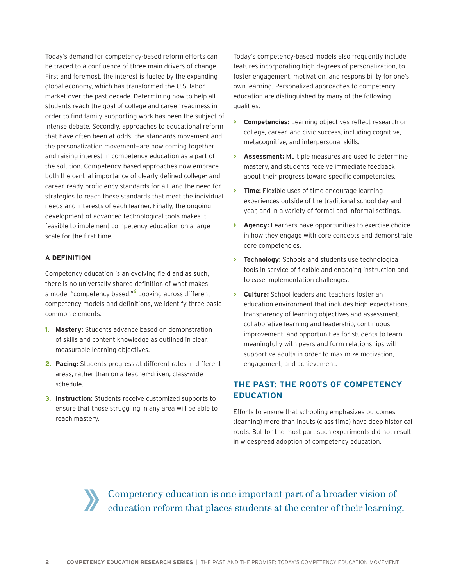Today's demand for competency-based reform efforts can be traced to a confluence of three main drivers of change. First and foremost, the interest is fueled by the expanding global economy, which has transformed the U.S. labor market over the past decade. Determining how to help all students reach the goal of college and career readiness in order to find family-supporting work has been the subject of intense debate. Secondly, approaches to educational reform that have often been at odds—the standards movement and the personalization movement—are now coming together and raising interest in competency education as a part of the solution. Competency-based approaches now embrace both the central importance of clearly defined college- and career-ready proficiency standards for all, and the need for strategies to reach these standards that meet the individual needs and interests of each learner. Finally, the ongoing development of advanced technological tools makes it feasible to implement competency education on a large scale for the first time.

#### **A DEFINITION**

Competency education is an evolving field and as such, there is no universally shared definition of what makes a model "competency based."<sup>4</sup> Looking across different competency models and definitions, we identify three basic common elements:

- **1. Mastery:** Students advance based on demonstration of skills and content knowledge as outlined in clear, measurable learning objectives.
- **2. Pacing:** Students progress at different rates in different areas, rather than on a teacher-driven, class-wide schedule.
- **3. Instruction:** Students receive customized supports to ensure that those struggling in any area will be able to reach mastery.

Today's competency-based models also frequently include features incorporating high degrees of personalization, to foster engagement, motivation, and responsibility for one's own learning. Personalized approaches to competency education are distinguished by many of the following qualities:

- **> Competencies:** Learning objectives reflect research on college, career, and civic success, including cognitive, metacognitive, and interpersonal skills.
- **> Assessment:** Multiple measures are used to determine mastery, and students receive immediate feedback about their progress toward specific competencies.
- **> Time:** Flexible uses of time encourage learning experiences outside of the traditional school day and year, and in a variety of formal and informal settings.
- **> Agency:** Learners have opportunities to exercise choice in how they engage with core concepts and demonstrate core competencies.
- **> Technology:** Schools and students use technological tools in service of flexible and engaging instruction and to ease implementation challenges.
- **> Culture:** School leaders and teachers foster an education environment that includes high expectations, transparency of learning objectives and assessment, collaborative learning and leadership, continuous improvement, and opportunities for students to learn meaningfully with peers and form relationships with supportive adults in order to maximize motivation, engagement, and achievement.

# **THE PAST: THE ROOTS OF COMPETENCY EDUCATION**

Efforts to ensure that schooling emphasizes outcomes (learning) more than inputs (class time) have deep historical roots. But for the most part such experiments did not result in widespread adoption of competency education.

Competency education is one important part of a broader vision of education reform that places students at the center of their learning.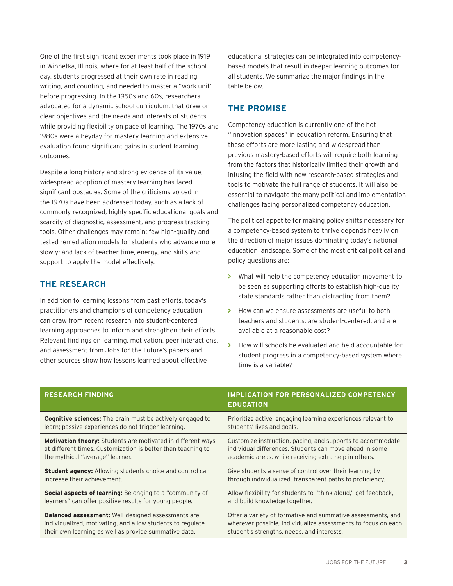One of the first significant experiments took place in 1919 in Winnetka, Illinois, where for at least half of the school day, students progressed at their own rate in reading, writing, and counting, and needed to master a "work unit" before progressing. In the 1950s and 60s, researchers advocated for a dynamic school curriculum, that drew on clear objectives and the needs and interests of students, while providing flexibility on pace of learning. The 1970s and 1980s were a heyday for mastery learning and extensive evaluation found significant gains in student learning outcomes.

Despite a long history and strong evidence of its value, widespread adoption of mastery learning has faced significant obstacles. Some of the criticisms voiced in the 1970s have been addressed today, such as a lack of commonly recognized, highly specific educational goals and scarcity of diagnostic, assessment, and progress tracking tools. Other challenges may remain: few high-quality and tested remediation models for students who advance more slowly; and lack of teacher time, energy, and skills and support to apply the model effectively.

### **THE RESEARCH**

In addition to learning lessons from past efforts, today's practitioners and champions of competency education can draw from recent research into student-centered learning approaches to inform and strengthen their efforts. Relevant findings on learning, motivation, peer interactions, and assessment from Jobs for the Future's papers and other sources show how lessons learned about effective

educational strategies can be integrated into competencybased models that result in deeper learning outcomes for all students. We summarize the major findings in the table below.

## **THE PROMISE**

Competency education is currently one of the hot "innovation spaces" in education reform. Ensuring that these efforts are more lasting and widespread than previous mastery-based efforts will require both learning from the factors that historically limited their growth and infusing the field with new research-based strategies and tools to motivate the full range of students. It will also be essential to navigate the many political and implementation challenges facing personalized competency education.

The political appetite for making policy shifts necessary for a competency-based system to thrive depends heavily on the direction of major issues dominating today's national education landscape. Some of the most critical political and policy questions are:

- **>** What will help the competency education movement to be seen as supporting efforts to establish high-quality state standards rather than distracting from them?
- **>** How can we ensure assessments are useful to both teachers and students, are student-centered, and are available at a reasonable cost?
- **>** How will schools be evaluated and held accountable for student progress in a competency-based system where time is a variable?

| <b>RESEARCH FINDING</b>                                            | IMPLICATION FOR PERSONALIZED COMPETENCY<br><b>EDUCATION</b>    |
|--------------------------------------------------------------------|----------------------------------------------------------------|
| <b>Cognitive sciences:</b> The brain must be actively engaged to   | Prioritize active, engaging learning experiences relevant to   |
| learn; passive experiences do not trigger learning.                | students' lives and goals.                                     |
| <b>Motivation theory:</b> Students are motivated in different ways | Customize instruction, pacing, and supports to accommodate     |
| at different times. Customization is better than teaching to       | individual differences. Students can move ahead in some        |
| the mythical "average" learner.                                    | academic areas, while receiving extra help in others.          |
| <b>Student agency:</b> Allowing students choice and control can    | Give students a sense of control over their learning by        |
| increase their achievement.                                        | through individualized, transparent paths to proficiency.      |
| Social aspects of learning: Belonging to a "community of           | Allow flexibility for students to "think aloud," get feedback, |
| learners" can offer positive results for young people.             | and build knowledge together.                                  |
| <b>Balanced assessment:</b> Well-designed assessments are          | Offer a variety of formative and summative assessments, and    |
| individualized, motivating, and allow students to regulate         | wherever possible, individualize assessments to focus on each  |
| their own learning as well as provide summative data.              | student's strengths, needs, and interests.                     |